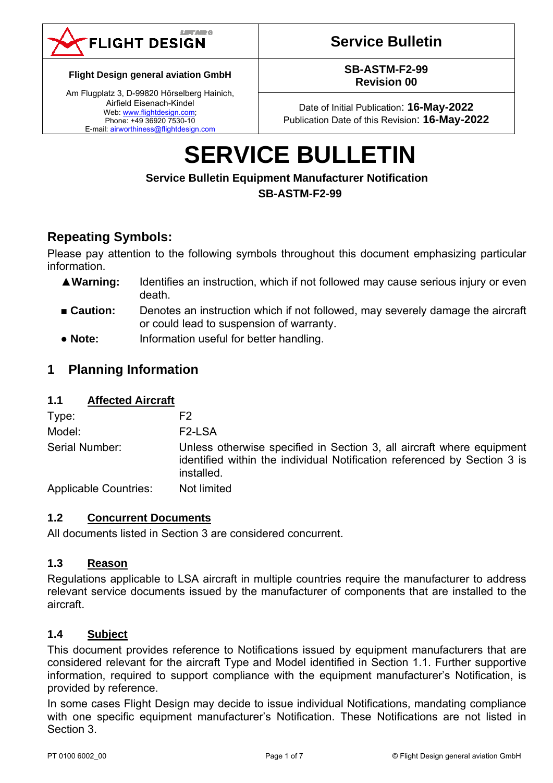

# **Service Bulletin**

**Flight Design general aviation GmbH** 

Am Flugplatz 3, D-99820 Hörselberg Hainich, Airfield Eisenach-Kindel Web: www.flightdesign.com; Phone: +49 36920 7530-10 E-mail: airworthiness@flightdesign.com

**SB-ASTM-F2-99 Revision 00** 

Date of Initial Publication: **16-May-2022**  Publication Date of this Revision: **16-May-2022**

# **SERVICE BULLETIN**

## **Service Bulletin Equipment Manufacturer Notification SB-ASTM-F2-99**

# **Repeating Symbols:**

Please pay attention to the following symbols throughout this document emphasizing particular information.

- ▲**Warning:** Identifies an instruction, which if not followed may cause serious injury or even death.
- **Caution:** Denotes an instruction which if not followed, may severely damage the aircraft or could lead to suspension of warranty.
- **Note:** Information useful for better handling.

## **1 Planning Information**

## **1.1 Affected Aircraft**

| Type:                        | F2                                                                                                                                                              |
|------------------------------|-----------------------------------------------------------------------------------------------------------------------------------------------------------------|
| Model:                       | F <sub>2</sub> -LSA                                                                                                                                             |
| Serial Number:               | Unless otherwise specified in Section 3, all aircraft where equipment<br>identified within the individual Notification referenced by Section 3 is<br>installed. |
| <b>Applicable Countries:</b> | Not limited                                                                                                                                                     |

## **1.2 Concurrent Documents**

All documents listed in Section 3 are considered concurrent.

## **1.3 Reason**

Regulations applicable to LSA aircraft in multiple countries require the manufacturer to address relevant service documents issued by the manufacturer of components that are installed to the aircraft.

## **1.4 Subject**

This document provides reference to Notifications issued by equipment manufacturers that are considered relevant for the aircraft Type and Model identified in Section 1.1. Further supportive information, required to support compliance with the equipment manufacturer's Notification, is provided by reference.

In some cases Flight Design may decide to issue individual Notifications, mandating compliance with one specific equipment manufacturer's Notification. These Notifications are not listed in Section 3.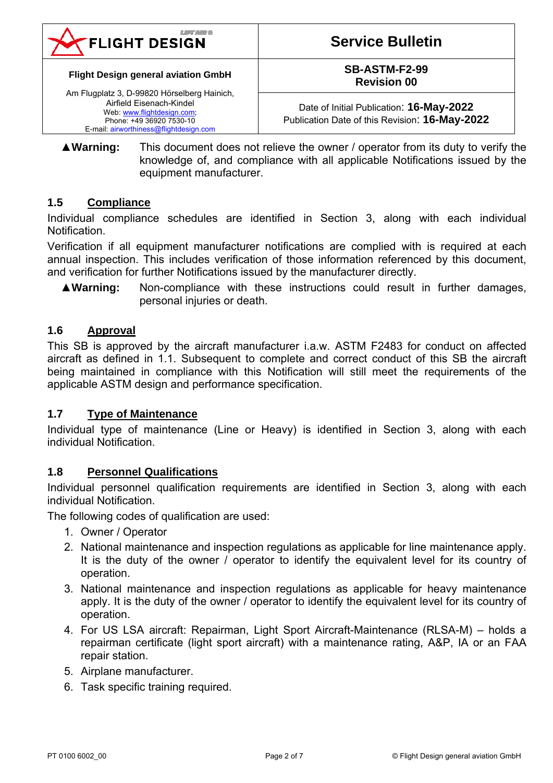

#### **Flight Design general aviation GmbH**

Am Flugplatz 3, D-99820 Hörselberg Hainich, Airfield Eisenach-Kindel Web: www.flightdesign.com; Phone: +49 36920 7530-10 E-mail: airworthiness@flightdesign.com

## **SB-ASTM-F2-99 Revision 00**

Date of Initial Publication: **16-May-2022**  Publication Date of this Revision: **16-May-2022**

▲**Warning:** This document does not relieve the owner / operator from its duty to verify the knowledge of, and compliance with all applicable Notifications issued by the equipment manufacturer.

## **1.5 Compliance**

Individual compliance schedules are identified in Section 3, along with each individual Notification.

Verification if all equipment manufacturer notifications are complied with is required at each annual inspection. This includes verification of those information referenced by this document, and verification for further Notifications issued by the manufacturer directly.

▲**Warning:** Non-compliance with these instructions could result in further damages, personal injuries or death.

## **1.6 Approval**

This SB is approved by the aircraft manufacturer i.a.w. ASTM F2483 for conduct on affected aircraft as defined in 1.1. Subsequent to complete and correct conduct of this SB the aircraft being maintained in compliance with this Notification will still meet the requirements of the applicable ASTM design and performance specification.

## **1.7 Type of Maintenance**

Individual type of maintenance (Line or Heavy) is identified in Section 3, along with each individual Notification.

## **1.8 Personnel Qualifications**

Individual personnel qualification requirements are identified in Section 3, along with each individual Notification.

The following codes of qualification are used:

- 1. Owner / Operator
- 2. National maintenance and inspection regulations as applicable for line maintenance apply. It is the duty of the owner / operator to identify the equivalent level for its country of operation.
- 3. National maintenance and inspection regulations as applicable for heavy maintenance apply. It is the duty of the owner / operator to identify the equivalent level for its country of operation.
- 4. For US LSA aircraft: Repairman, Light Sport Aircraft-Maintenance (RLSA-M) holds a repairman certificate (light sport aircraft) with a maintenance rating, A&P, IA or an FAA repair station.
- 5. Airplane manufacturer.
- 6. Task specific training required.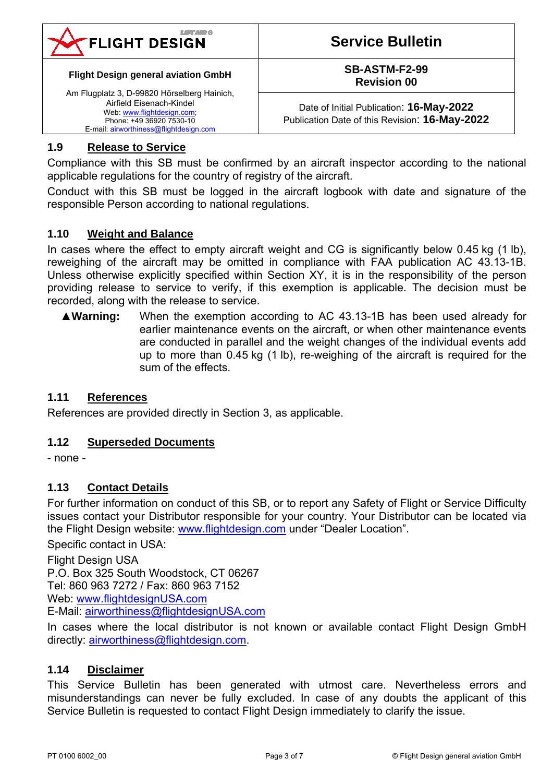

#### **Flight Design general aviation GmbH**

Am Flugplatz 3, D-99820 Hörselberg Hainich, Airfield Eisenach-Kindel Web: www.flightdesign.com; Phone: +49 36920 7530-10 E-mail: airworthiness@flightdesign.com

**SB-ASTM-F2-99 Revision 00** 

Date of Initial Publication: **16-May-2022**  Publication Date of this Revision: **16-May-2022**

## **1.9 Release to Service**

Compliance with this SB must be confirmed by an aircraft inspector according to the national applicable regulations for the country of registry of the aircraft.

Conduct with this SB must be logged in the aircraft logbook with date and signature of the responsible Person according to national regulations.

#### **1.10 Weight and Balance**

In cases where the effect to empty aircraft weight and CG is significantly below 0.45 kg (1 lb), reweighing of the aircraft may be omitted in compliance with FAA publication AC 43.13-1B. Unless otherwise explicitly specified within Section XY, it is in the responsibility of the person providing release to service to verify, if this exemption is applicable. The decision must be recorded, along with the release to service.

▲**Warning:** When the exemption according to AC 43.13-1B has been used already for earlier maintenance events on the aircraft, or when other maintenance events are conducted in parallel and the weight changes of the individual events add up to more than 0.45 kg (1 lb), re-weighing of the aircraft is required for the sum of the effects.

#### **1.11 References**

References are provided directly in Section 3, as applicable.

#### **1.12 Superseded Documents**

- none -

#### **1.13 Contact Details**

For further information on conduct of this SB, or to report any Safety of Flight or Service Difficulty issues contact your Distributor responsible for your country. Your Distributor can be located via the Flight Design website: www.flightdesign.com under "Dealer Location".

Specific contact in USA:

Flight Design USA P.O. Box 325 South Woodstock, CT 06267 Tel: 860 963 7272 / Fax: 860 963 7152 Web: www.flightdesignUSA.com E-Mail: airworthiness@flightdesignUSA.com

In cases where the local distributor is not known or available contact Flight Design GmbH directly: airworthiness@flightdesign.com.

#### **1.14 Disclaimer**

This Service Bulletin has been generated with utmost care. Nevertheless errors and misunderstandings can never be fully excluded. In case of any doubts the applicant of this Service Bulletin is requested to contact Flight Design immediately to clarify the issue.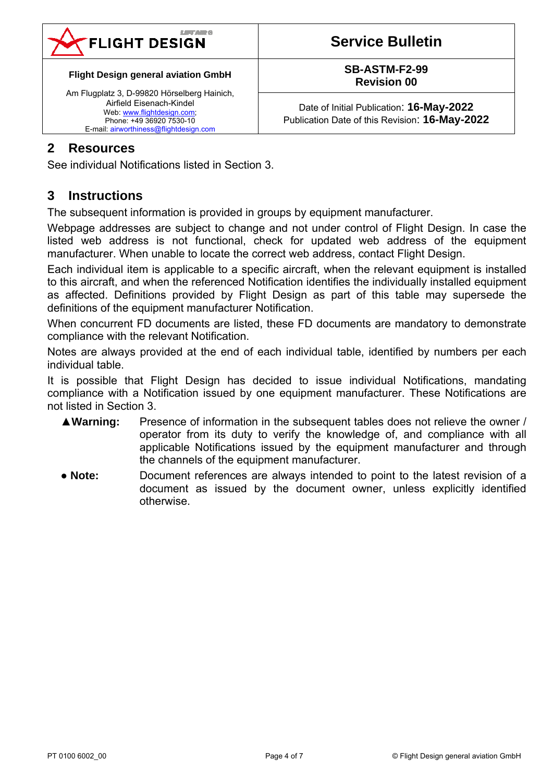

# **Service Bulletin**

#### **Flight Design general aviation GmbH**

Am Flugplatz 3, D-99820 Hörselberg Hainich, Airfield Eisenach-Kindel Web: www.flightdesign.com; Phone: +49 36920 7530-10 E-mail: airworthiness@flightdesign.com

#### **SB-ASTM-F2-99 Revision 00**

Date of Initial Publication: **16-May-2022**  Publication Date of this Revision: **16-May-2022**

## **2 Resources**

See individual Notifications listed in Section 3.

## **3 Instructions**

The subsequent information is provided in groups by equipment manufacturer.

Webpage addresses are subject to change and not under control of Flight Design. In case the listed web address is not functional, check for updated web address of the equipment manufacturer. When unable to locate the correct web address, contact Flight Design.

Each individual item is applicable to a specific aircraft, when the relevant equipment is installed to this aircraft, and when the referenced Notification identifies the individually installed equipment as affected. Definitions provided by Flight Design as part of this table may supersede the definitions of the equipment manufacturer Notification.

When concurrent FD documents are listed, these FD documents are mandatory to demonstrate compliance with the relevant Notification.

Notes are always provided at the end of each individual table, identified by numbers per each individual table.

It is possible that Flight Design has decided to issue individual Notifications, mandating compliance with a Notification issued by one equipment manufacturer. These Notifications are not listed in Section 3.

- ▲**Warning:** Presence of information in the subsequent tables does not relieve the owner / operator from its duty to verify the knowledge of, and compliance with all applicable Notifications issued by the equipment manufacturer and through the channels of the equipment manufacturer.
- **Note:** Document references are always intended to point to the latest revision of a document as issued by the document owner, unless explicitly identified otherwise.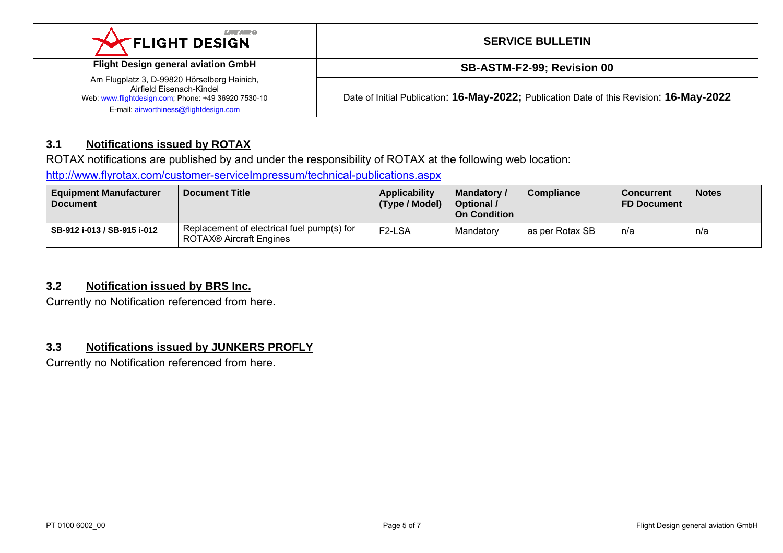| <b>LIFT AND O</b><br><b>X FLIGHT DESIGN</b>                                                                                                                              | <b>SERVICE BULLETIN</b>                                                                  |
|--------------------------------------------------------------------------------------------------------------------------------------------------------------------------|------------------------------------------------------------------------------------------|
| <b>Flight Design general aviation GmbH</b>                                                                                                                               | SB-ASTM-F2-99; Revision 00                                                               |
| Am Flugplatz 3, D-99820 Hörselberg Hainich,<br>Airfield Fisenach-Kindel<br>Web: www.flightdesign.com; Phone: +49 36920 7530-10<br>E-mail: airworthiness@flightdesign.com | Date of Initial Publication: 16-May-2022; Publication Date of this Revision: 16-May-2022 |

## **3.1 Notifications issued by ROTAX**

ROTAX notifications are published by and under the responsibility of ROTAX at the following web location:

http://www.flyrotax.com/customer-serviceImpressum/technical-publications.aspx

| <b>Equipment Manufacturer</b><br><b>Document</b> | <b>Document Title</b>                                                        | <b>Applicability</b><br>(Type / Model) | Mandatory /<br>Optional /<br><b>On Condition</b> | <b>Compliance</b> | Concurrent<br><b>FD Document</b> | <b>Notes</b> |
|--------------------------------------------------|------------------------------------------------------------------------------|----------------------------------------|--------------------------------------------------|-------------------|----------------------------------|--------------|
| SB-912 i-013 / SB-915 i-012                      | Replacement of electrical fuel pump(s) for<br><b>ROTAX® Aircraft Engines</b> | F <sub>2</sub> -LSA                    | Mandatory                                        | as per Rotax SB   | n/a                              | n/a          |

## **3.2 Notification issued by BRS Inc.**

Currently no Notification referenced from here.

#### **3.3 Notifications issued by JUNKERS PROFLY**

Currently no Notification referenced from here.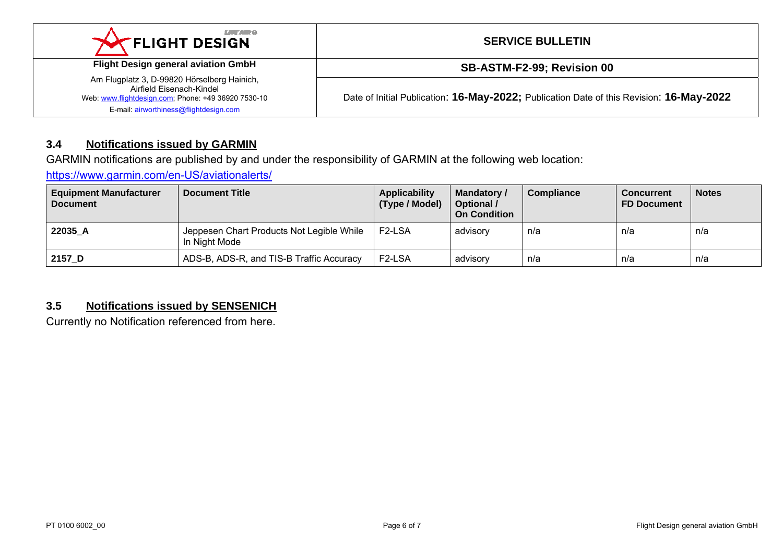| <b>LIFTARY</b><br><b>XX FLIGHT DESIGN</b>                                                                                                                                | <b>SERVICE BULLETIN</b>                                                                  |
|--------------------------------------------------------------------------------------------------------------------------------------------------------------------------|------------------------------------------------------------------------------------------|
| <b>Flight Design general aviation GmbH</b>                                                                                                                               | SB-ASTM-F2-99; Revision 00                                                               |
| Am Flugplatz 3, D-99820 Hörselberg Hainich,<br>Airfield Eisenach-Kindel<br>Web: www.flightdesign.com; Phone: +49 36920 7530-10<br>E-mail: airworthiness@flightdesign.com | Date of Initial Publication: 16-May-2022; Publication Date of this Revision: 16-May-2022 |

## **3.4 Notifications issued by GARMIN**

GARMIN notifications are published by and under the responsibility of GARMIN at the following web location:

https://www.garmin.com/en-US/aviationalerts/

| <b>Equipment Manufacturer</b><br><b>Document</b> | <b>Document Title</b>                                      | Applicability<br>(Type / Model) | <b>Mandatory /</b><br>Optional /<br><b>On Condition</b> | <b>Compliance</b> | Concurrent<br><b>FD Document</b> | <b>Notes</b> |
|--------------------------------------------------|------------------------------------------------------------|---------------------------------|---------------------------------------------------------|-------------------|----------------------------------|--------------|
| 22035 A                                          | Jeppesen Chart Products Not Legible While<br>In Night Mode | F <sub>2</sub> -LSA             | advisory                                                | n/a               | n/a                              | n/a          |
| 2157 D                                           | ADS-B, ADS-R, and TIS-B Traffic Accuracy                   | F <sub>2</sub> -LSA             | advisory                                                | n/a               | n/a                              | n/a          |

## **3.5 Notifications issued by SENSENICH**

Currently no Notification referenced from here.